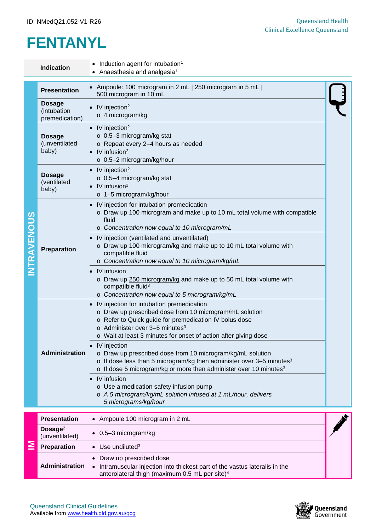# **FENTANYL**

| Induction agent for intubation <sup>1</sup><br><b>Indication</b><br>Anaesthesia and analgesia <sup>1</sup> |                                                |                                                                                                                                                                                                                                                                                         |  |  |  |  |  |  |  |
|------------------------------------------------------------------------------------------------------------|------------------------------------------------|-----------------------------------------------------------------------------------------------------------------------------------------------------------------------------------------------------------------------------------------------------------------------------------------|--|--|--|--|--|--|--|
| <b>ITRAVENOUS</b>                                                                                          | <b>Presentation</b>                            | • Ampoule: 100 microgram in 2 mL   250 microgram in 5 mL  <br>500 microgram in 10 mL                                                                                                                                                                                                    |  |  |  |  |  |  |  |
|                                                                                                            | <b>Dosage</b><br>(intubation<br>premedication) | $\bullet$ IV injection <sup>2</sup><br>o 4 microgram/kg                                                                                                                                                                                                                                 |  |  |  |  |  |  |  |
|                                                                                                            | <b>Dosage</b><br>(unventilated<br>baby)        | $\bullet$ IV injection <sup>2</sup><br>$\circ$ 0.5-3 microgram/kg stat<br>o Repeat every 2-4 hours as needed<br>$\bullet$ IV infusion <sup>2</sup><br>o 0.5-2 microgram/kg/hour                                                                                                         |  |  |  |  |  |  |  |
|                                                                                                            | <b>Dosage</b><br>(ventilated<br>baby)          | $\bullet$ IV injection <sup>2</sup><br>$\circ$ 0.5-4 microgram/kg stat<br>$\bullet$ IV infusion <sup>2</sup><br>o 1-5 microgram/kg/hour                                                                                                                                                 |  |  |  |  |  |  |  |
|                                                                                                            | <b>Preparation</b>                             | • IV injection for intubation premedication<br>o Draw up 100 microgram and make up to 10 mL total volume with compatible<br>fluid<br>o Concentration now equal to 10 microgram/mL                                                                                                       |  |  |  |  |  |  |  |
|                                                                                                            |                                                | • IV injection (ventilated and unventilated)<br>o Draw up 100 microgram/kg and make up to 10 mL total volume with<br>compatible fluid<br>o Concentration now equal to 10 microgram/kg/mL                                                                                                |  |  |  |  |  |  |  |
|                                                                                                            |                                                | • IV infusion<br>o Draw up 250 microgram/kg and make up to 50 mL total volume with<br>compatible fluid <sup>3</sup><br>o Concentration now equal to 5 microgram/kg/mL                                                                                                                   |  |  |  |  |  |  |  |
|                                                                                                            | Administration                                 | • IV injection for intubation premedication<br>o Draw up prescribed dose from 10 microgram/mL solution<br>o Refer to Quick guide for premedication IV bolus dose<br>$\circ$ Administer over 3-5 minutes <sup>3</sup><br>o Wait at least 3 minutes for onset of action after giving dose |  |  |  |  |  |  |  |
|                                                                                                            |                                                | IV injection<br>o Draw up prescribed dose from 10 microgram/kg/mL solution<br>o If dose less than 5 microgram/kg then administer over 3-5 minutes <sup>3</sup><br>o If dose 5 microgram/kg or more then administer over 10 minutes <sup>3</sup>                                         |  |  |  |  |  |  |  |
|                                                                                                            |                                                | IV infusion<br>$\bullet$<br>o Use a medication safety infusion pump<br>o A 5 microgram/kg/mL solution infused at 1 mL/hour, delivers<br>5 micrograms/kg/hour                                                                                                                            |  |  |  |  |  |  |  |
|                                                                                                            | <b>Presentation</b>                            | • Ampoule 100 microgram in 2 mL                                                                                                                                                                                                                                                         |  |  |  |  |  |  |  |
|                                                                                                            | Dosage <sup>2</sup><br>(unventilated)          | 0.5-3 microgram/kg<br>$\bullet$                                                                                                                                                                                                                                                         |  |  |  |  |  |  |  |
|                                                                                                            | Preparation                                    | Use undiluted $3$                                                                                                                                                                                                                                                                       |  |  |  |  |  |  |  |
|                                                                                                            | Administration                                 | Draw up prescribed dose<br>Intramuscular injection into thickest part of the vastus lateralis in the<br>anterolateral thigh (maximum 0.5 mL per site) <sup>4</sup>                                                                                                                      |  |  |  |  |  |  |  |



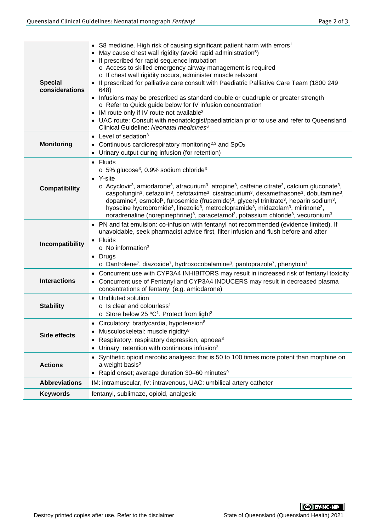| <b>Special</b><br>considerations | • S8 medicine. High risk of causing significant patient harm with errors <sup>1</sup><br>• May cause chest wall rigidity (avoid rapid administration <sup>5</sup> )<br>• If prescribed for rapid sequence intubation<br>o Access to skilled emergency airway management is required<br>o If chest wall rigidity occurs, administer muscle relaxant<br>• If prescribed for palliative care consult with Paediatric Palliative Care Team (1800 249<br>648)<br>• Infusions may be prescribed as standard double or quadruple or greater strength<br>o Refer to Quick guide below for IV infusion concentration<br>• IM route only if IV route not available <sup>3</sup><br>• UAC route: Consult with neonatologist/paediatrician prior to use and refer to Queensland<br>Clinical Guideline: Neonatal medicines <sup>6</sup>                                                                                 |
|----------------------------------|------------------------------------------------------------------------------------------------------------------------------------------------------------------------------------------------------------------------------------------------------------------------------------------------------------------------------------------------------------------------------------------------------------------------------------------------------------------------------------------------------------------------------------------------------------------------------------------------------------------------------------------------------------------------------------------------------------------------------------------------------------------------------------------------------------------------------------------------------------------------------------------------------------|
| <b>Monitoring</b>                | • Level of sedation $3$<br>• Continuous cardiorespiratory monitoring <sup>2,3</sup> and SpO <sub>2</sub><br>• Urinary output during infusion (for retention)                                                                                                                                                                                                                                                                                                                                                                                                                                                                                                                                                                                                                                                                                                                                               |
| <b>Compatibility</b>             | $\bullet$ Fluids<br>$\circ$ 5% glucose <sup>3</sup> , 0.9% sodium chloride <sup>3</sup><br>• Y-site<br>$\circ$ Acyclovir <sup>3</sup> , amiodarone <sup>3</sup> , atracurium <sup>3</sup> , atropine <sup>3</sup> , caffeine citrate <sup>3</sup> , calcium gluconate <sup>3</sup> ,<br>caspofungin <sup>3</sup> , cefazolin <sup>3</sup> , cefotaxime <sup>3</sup> , cisatracurium <sup>3</sup> , dexamethasone <sup>3</sup> , dobutamine <sup>3</sup> ,<br>dopamine <sup>3</sup> , esmolol <sup>3</sup> , furosemide (frusemide) <sup>3</sup> , glyceryl trinitrate <sup>3</sup> , heparin sodium <sup>3</sup> ,<br>hyoscine hydrobromide <sup>3</sup> , linezolid <sup>3</sup> , metroclopramide <sup>3</sup> , midazolam <sup>3</sup> , milrinone <sup>3</sup> ,<br>noradrenaline (norepinephrine) <sup>3</sup> , paracetamol <sup>3</sup> , potassium chloride <sup>3</sup> , vecuronium <sup>3</sup> |
| Incompatibility                  | • PN and fat emulsion: co-infusion with fentanyl not recommended (evidence limited). If<br>unavoidable, seek pharmacist advice first, filter infusion and flush before and after<br>• Fluids<br>$\circ$ No information <sup>3</sup><br>• Drugs<br>$\circ$ Dantrolene <sup>7</sup> , diazoxide <sup>7</sup> , hydroxocobalamine <sup>3</sup> , pantoprazole <sup>7</sup> , phenytoin <sup>7</sup>                                                                                                                                                                                                                                                                                                                                                                                                                                                                                                           |
| <b>Interactions</b>              | Concurrent use with CYP3A4 INHIBITORS may result in increased risk of fentanyl toxicity<br>$\bullet$<br>• Concurrent use of Fentanyl and CYP3A4 INDUCERS may result in decreased plasma<br>concentrations of fentanyl (e.g. amiodarone)                                                                                                                                                                                                                                                                                                                                                                                                                                                                                                                                                                                                                                                                    |
| <b>Stability</b>                 | • Undiluted solution<br>$\circ$ Is clear and colourless <sup>1</sup><br>o Store below 25 °C <sup>1</sup> . Protect from light <sup>3</sup>                                                                                                                                                                                                                                                                                                                                                                                                                                                                                                                                                                                                                                                                                                                                                                 |
| <b>Side effects</b>              | Circulatory: bradycardia, hypotension <sup>8</sup><br>Musculoskeletal: muscle rigidity <sup>8</sup><br>Respiratory: respiratory depression, apnoea <sup>8</sup><br>Urinary: retention with continuous infusion <sup>2</sup>                                                                                                                                                                                                                                                                                                                                                                                                                                                                                                                                                                                                                                                                                |
| <b>Actions</b>                   | Synthetic opioid narcotic analgesic that is 50 to 100 times more potent than morphine on<br>a weight basis <sup>2</sup><br>• Rapid onset; average duration 30-60 minutes <sup>9</sup>                                                                                                                                                                                                                                                                                                                                                                                                                                                                                                                                                                                                                                                                                                                      |
| <b>Abbreviations</b>             | IM: intramuscular, IV: intravenous, UAC: umbilical artery catheter                                                                                                                                                                                                                                                                                                                                                                                                                                                                                                                                                                                                                                                                                                                                                                                                                                         |
| <b>Keywords</b>                  | fentanyl, sublimaze, opioid, analgesic                                                                                                                                                                                                                                                                                                                                                                                                                                                                                                                                                                                                                                                                                                                                                                                                                                                                     |